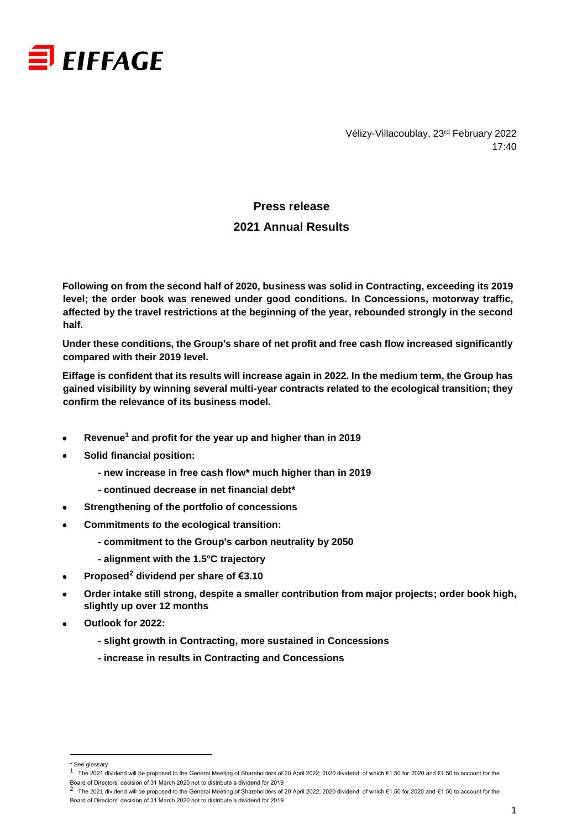

Vélizy-Villacoublay, 23rd February 2022 17:40

# **Press release 2021 Annual Results**

**Following on from the second half of 2020, business was solid in Contracting, exceeding its 2019 level; the order book was renewed under good conditions. In Concessions, motorway traffic, affected by the travel restrictions at the beginning of the year, rebounded strongly in the second half.**

**Under these conditions, the Group's share of net profit and free cash flow increased significantly compared with their 2019 level.**

**Eiffage is confident that its results will increase again in 2022. In the medium term, the Group has gained visibility by winning several multi-year contracts related to the ecological transition; they confirm the relevance of its business model.**

- **Revenue<sup>1</sup> and profit for the year up and higher than in 2019**
- **Solid financial position:** 
	- **- new increase in free cash flow\* much higher than in 2019**
	- **- continued decrease in net financial debt\***
- **Strengthening of the portfolio of concessions**
- **Commitments to the ecological transition:**
	- **- commitment to the Group's carbon neutrality by 2050**
	- **- alignment with the 1.5°C trajectory**
- **Proposed<sup>2</sup> dividend per share of €3.10**
- **Order intake still strong, despite a smaller contribution from major projects; order book high, slightly up over 12 months**
- **Outlook for 2022:**
	- *-* **slight growth in Contracting, more sustained in Concessions**
	- *-* **increase in results in Contracting and Concessions**

 $\overline{a}$ 

<sup>&</sup>lt;sup>\*</sup> See glossary

<sup>1</sup> The 2021 dividend will be proposed to the General Meeting of Shareholders of 20 April 2022; 2020 dividend: of which €1.50 for 2020 and €1.50 to account for the

Board of Directors' decision of 31 March 2020 not to distribute a dividend for 2019<br><sup>2</sup> The 2021 dividend will be proposed to the General Meeting of Shareholders of 20 April 2022; 2020 dividend: of which €1.50 for 2020 an Board of Directors' decision of 31 March 2020 not to distribute a dividend for 2019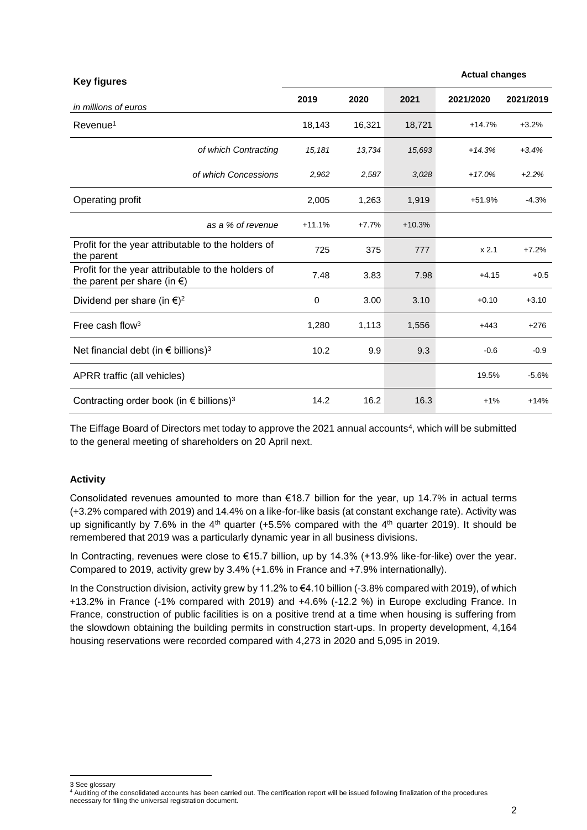| <b>Key figures</b>                                                                          |          |         |          | <b>Actual changes</b> |           |
|---------------------------------------------------------------------------------------------|----------|---------|----------|-----------------------|-----------|
| in millions of euros                                                                        | 2019     | 2020    | 2021     | 2021/2020             | 2021/2019 |
| Revenue <sup>1</sup>                                                                        | 18,143   | 16,321  | 18,721   | $+14.7%$              | $+3.2%$   |
| of which Contracting                                                                        | 15,181   | 13,734  | 15,693   | $+14.3%$              | $+3.4%$   |
| of which Concessions                                                                        | 2,962    | 2,587   | 3,028    | $+17.0%$              | $+2.2%$   |
| Operating profit                                                                            | 2,005    | 1,263   | 1,919    | $+51.9%$              | $-4.3%$   |
| as a % of revenue                                                                           | $+11.1%$ | $+7.7%$ | $+10.3%$ |                       |           |
| Profit for the year attributable to the holders of<br>the parent                            | 725      | 375     | 777      | x 2.1                 | $+7.2%$   |
| Profit for the year attributable to the holders of<br>the parent per share (in $\epsilon$ ) | 7.48     | 3.83    | 7.98     | $+4.15$               | $+0.5$    |
| Dividend per share (in $\epsilon$ ) <sup>2</sup>                                            | 0        | 3.00    | 3.10     | $+0.10$               | $+3.10$   |
| Free cash flow <sup>3</sup>                                                                 | 1,280    | 1,113   | 1,556    | $+443$                | $+276$    |
| Net financial debt (in $\epsilon$ billions) <sup>3</sup>                                    | 10.2     | 9.9     | 9.3      | $-0.6$                | $-0.9$    |
| APRR traffic (all vehicles)                                                                 |          |         |          | 19.5%                 | $-5.6%$   |
| Contracting order book (in $\epsilon$ billions) <sup>3</sup>                                | 14.2     | 16.2    | 16.3     | $+1%$                 | $+14%$    |

The Eiffage Board of Directors met today to approve the 2021 annual accounts<sup>4</sup>, which will be submitted to the general meeting of shareholders on 20 April next.

### **Activity**

Consolidated revenues amounted to more than €18.7 billion for the year, up 14.7% in actual terms (+3.2% compared with 2019) and 14.4% on a like-for-like basis (at constant exchange rate). Activity was up significantly by 7.6% in the  $4<sup>th</sup>$  quarter (+5.5% compared with the  $4<sup>th</sup>$  quarter 2019). It should be remembered that 2019 was a particularly dynamic year in all business divisions.

In Contracting, revenues were close to €15.7 billion, up by 14.3% (+13.9% like-for-like) over the year. Compared to 2019, activity grew by 3.4% (+1.6% in France and +7.9% internationally).

In the Construction division, activity grew by 11.2% to €4.10 billion (-3.8% compared with 2019), of which +13.2% in France (-1% compared with 2019) and +4.6% (-12.2 %) in Europe excluding France. In France, construction of public facilities is on a positive trend at a time when housing is suffering from the slowdown obtaining the building permits in construction start-ups. In property development, 4,164 housing reservations were recorded compared with 4,273 in 2020 and 5,095 in 2019.

l

<sup>3</sup> See glossary

<sup>4</sup> Auditing of the consolidated accounts has been carried out. The certification report will be issued following finalization of the procedures necessary for filing the universal registration document.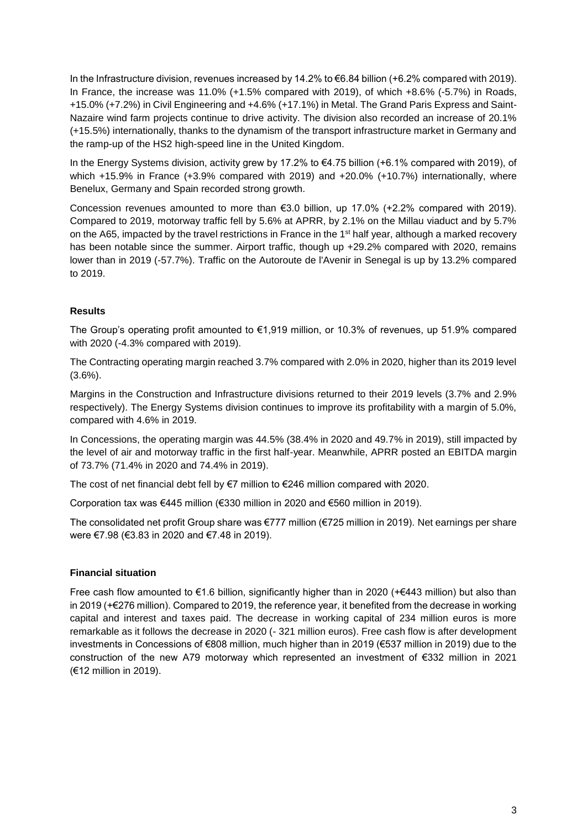In the Infrastructure division, revenues increased by 14.2% to €6.84 billion (+6.2% compared with 2019). In France, the increase was 11.0% (+1.5% compared with 2019), of which +8.6% (-5.7%) in Roads, +15.0% (+7.2%) in Civil Engineering and +4.6% (+17.1%) in Metal. The Grand Paris Express and Saint-Nazaire wind farm projects continue to drive activity. The division also recorded an increase of 20.1% (+15.5%) internationally, thanks to the dynamism of the transport infrastructure market in Germany and the ramp-up of the HS2 high-speed line in the United Kingdom.

In the Energy Systems division, activity grew by 17.2% to €4.75 billion (+6.1% compared with 2019), of which +15.9% in France (+3.9% compared with 2019) and +20.0% (+10.7%) internationally, where Benelux, Germany and Spain recorded strong growth.

Concession revenues amounted to more than €3.0 billion, up 17.0% (+2.2% compared with 2019). Compared to 2019, motorway traffic fell by 5.6% at APRR, by 2.1% on the Millau viaduct and by 5.7% on the A65, impacted by the travel restrictions in France in the 1<sup>st</sup> half year, although a marked recovery has been notable since the summer. Airport traffic, though up +29.2% compared with 2020, remains lower than in 2019 (-57.7%). Traffic on the Autoroute de l'Avenir in Senegal is up by 13.2% compared to 2019.

### **Results**

The Group's operating profit amounted to €1,919 million, or 10.3% of revenues, up 51.9% compared with 2020 (-4.3% compared with 2019).

The Contracting operating margin reached 3.7% compared with 2.0% in 2020, higher than its 2019 level  $(3.6\%)$ .

Margins in the Construction and Infrastructure divisions returned to their 2019 levels (3.7% and 2.9% respectively). The Energy Systems division continues to improve its profitability with a margin of 5.0%, compared with 4.6% in 2019.

In Concessions, the operating margin was 44.5% (38.4% in 2020 and 49.7% in 2019), still impacted by the level of air and motorway traffic in the first half-year. Meanwhile, APRR posted an EBITDA margin of 73.7% (71.4% in 2020 and 74.4% in 2019).

The cost of net financial debt fell by €7 million to €246 million compared with 2020.

Corporation tax was €445 million (€330 million in 2020 and €560 million in 2019).

The consolidated net profit Group share was €777 million (€725 million in 2019). Net earnings per share were €7.98 (€3.83 in 2020 and €7.48 in 2019).

### **Financial situation**

Free cash flow amounted to  $\epsilon$ 1.6 billion, significantly higher than in 2020 (+ $\epsilon$ 443 million) but also than in 2019 (+€276 million). Compared to 2019, the reference year, it benefited from the decrease in working capital and interest and taxes paid. The decrease in working capital of 234 million euros is more remarkable as it follows the decrease in 2020 (- 321 million euros). Free cash flow is after development investments in Concessions of €808 million, much higher than in 2019 (€537 million in 2019) due to the construction of the new A79 motorway which represented an investment of €332 million in 2021 (€12 million in 2019).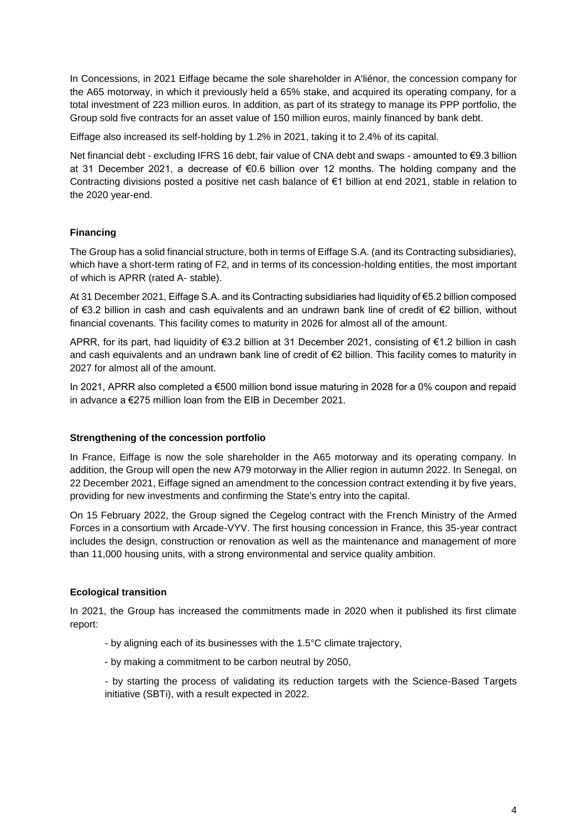In Concessions, in 2021 Eiffage became the sole shareholder in A'liénor, the concession company for the A65 motorway, in which it previously held a 65% stake, and acquired its operating company, for a total investment of 223 million euros. In addition, as part of its strategy to manage its PPP portfolio, the Group sold five contracts for an asset value of 150 million euros, mainly financed by bank debt.

Eiffage also increased its self-holding by 1.2% in 2021, taking it to 2.4% of its capital.

Net financial debt - excluding IFRS 16 debt, fair value of CNA debt and swaps - amounted to €9.3 billion at 31 December 2021, a decrease of €0.6 billion over 12 months. The holding company and the Contracting divisions posted a positive net cash balance of €1 billion at end 2021, stable in relation to the 2020 year-end.

## **Financing**

The Group has a solid financial structure, both in terms of Eiffage S.A. (and its Contracting subsidiaries), which have a short-term rating of F2, and in terms of its concession-holding entities, the most important of which is APRR (rated A- stable).

At 31 December 2021, Eiffage S.A. and its Contracting subsidiaries had liquidity of €5.2 billion composed of €3.2 billion in cash and cash equivalents and an undrawn bank line of credit of €2 billion, without financial covenants. This facility comes to maturity in 2026 for almost all of the amount.

APRR, for its part, had liquidity of €3.2 billion at 31 December 2021, consisting of €1.2 billion in cash and cash equivalents and an undrawn bank line of credit of €2 billion. This facility comes to maturity in 2027 for almost all of the amount.

In 2021, APRR also completed a €500 million bond issue maturing in 2028 for a 0% coupon and repaid in advance a €275 million loan from the EIB in December 2021.

### **Strengthening of the concession portfolio**

In France, Eiffage is now the sole shareholder in the A65 motorway and its operating company. In addition, the Group will open the new A79 motorway in the Allier region in autumn 2022. In Senegal, on 22 December 2021, Eiffage signed an amendment to the concession contract extending it by five years, providing for new investments and confirming the State's entry into the capital.

On 15 February 2022, the Group signed the Cegelog contract with the French Ministry of the Armed Forces in a consortium with Arcade-VYV. The first housing concession in France, this 35-year contract includes the design, construction or renovation as well as the maintenance and management of more than 11,000 housing units, with a strong environmental and service quality ambition.

### **Ecological transition**

In 2021, the Group has increased the commitments made in 2020 when it published its first climate report:

- by aligning each of its businesses with the 1.5°C climate trajectory,
- by making a commitment to be carbon neutral by 2050,

- by starting the process of validating its reduction targets with the Science-Based Targets initiative (SBTi), with a result expected in 2022.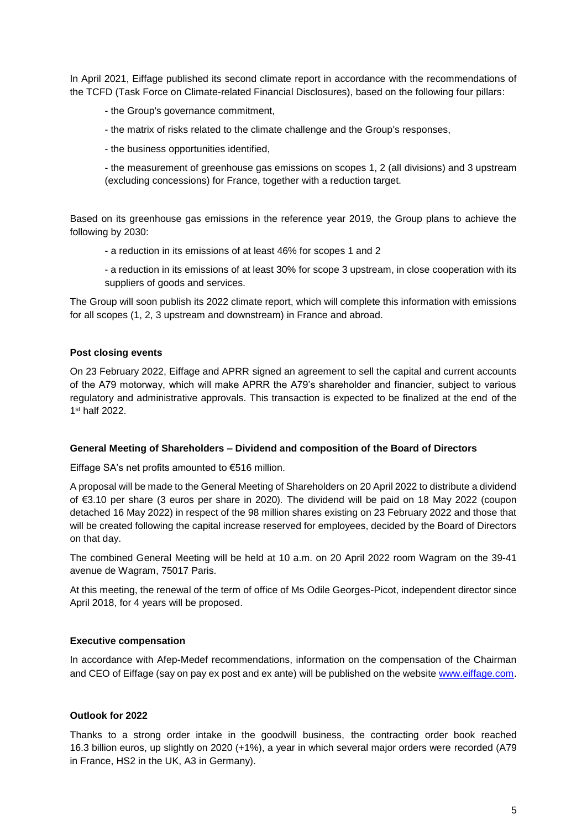In April 2021, Eiffage published its second climate report in accordance with the recommendations of the TCFD (Task Force on Climate-related Financial Disclosures), based on the following four pillars:

- the Group's governance commitment,
- the matrix of risks related to the climate challenge and the Group's responses,
- the business opportunities identified,

- the measurement of greenhouse gas emissions on scopes 1, 2 (all divisions) and 3 upstream (excluding concessions) for France, together with a reduction target.

Based on its greenhouse gas emissions in the reference year 2019, the Group plans to achieve the following by 2030:

- a reduction in its emissions of at least 46% for scopes 1 and 2
- a reduction in its emissions of at least 30% for scope 3 upstream, in close cooperation with its suppliers of goods and services.

The Group will soon publish its 2022 climate report, which will complete this information with emissions for all scopes (1, 2, 3 upstream and downstream) in France and abroad.

#### **Post closing events**

On 23 February 2022, Eiffage and APRR signed an agreement to sell the capital and current accounts of the A79 motorway, which will make APRR the A79's shareholder and financier, subject to various regulatory and administrative approvals. This transaction is expected to be finalized at the end of the 1 st half 2022.

#### **General Meeting of Shareholders – Dividend and composition of the Board of Directors**

Eiffage SA's net profits amounted to €516 million.

A proposal will be made to the General Meeting of Shareholders on 20 April 2022 to distribute a dividend of €3.10 per share (3 euros per share in 2020)*.* The dividend will be paid on 18 May 2022 (coupon detached 16 May 2022) in respect of the 98 million shares existing on 23 February 2022 and those that will be created following the capital increase reserved for employees, decided by the Board of Directors on that day.

The combined General Meeting will be held at 10 a.m. on 20 April 2022 room Wagram on the 39-41 avenue de Wagram, 75017 Paris.

At this meeting, the renewal of the term of office of Ms Odile Georges-Picot, independent director since April 2018, for 4 years will be proposed.

#### **Executive compensation**

In accordance with Afep-Medef recommendations, information on the compensation of the Chairman and CEO of Eiffage (say on pay ex post and ex ante) will be published on the website [www.eiffage.com](http://www.eiffage.com/).

### **Outlook for 2022**

Thanks to a strong order intake in the goodwill business, the contracting order book reached 16.3 billion euros, up slightly on 2020 (+1%), a year in which several major orders were recorded (A79 in France, HS2 in the UK, A3 in Germany).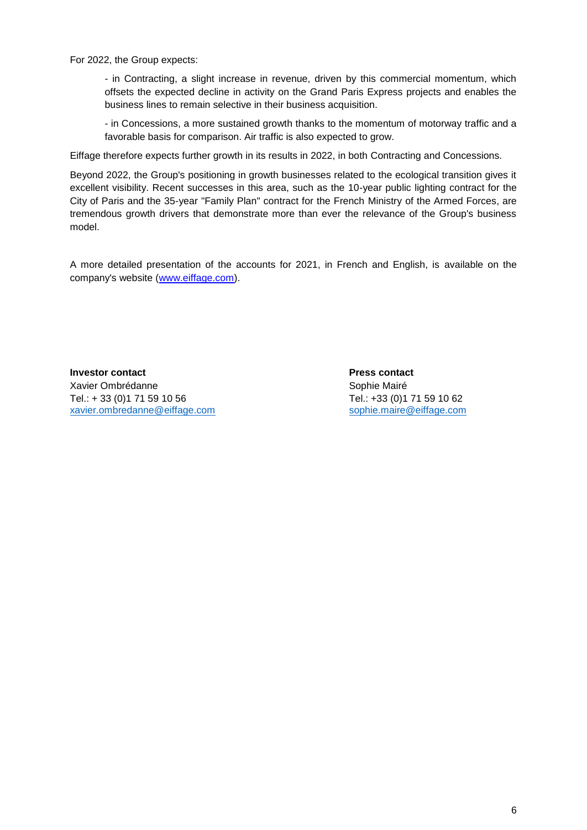For 2022, the Group expects:

- in Contracting, a slight increase in revenue, driven by this commercial momentum, which offsets the expected decline in activity on the Grand Paris Express projects and enables the business lines to remain selective in their business acquisition.

- in Concessions, a more sustained growth thanks to the momentum of motorway traffic and a favorable basis for comparison. Air traffic is also expected to grow.

Eiffage therefore expects further growth in its results in 2022, in both Contracting and Concessions.

Beyond 2022, the Group's positioning in growth businesses related to the ecological transition gives it excellent visibility. Recent successes in this area, such as the 10-year public lighting contract for the City of Paris and the 35-year "Family Plan" contract for the French Ministry of the Armed Forces, are tremendous growth drivers that demonstrate more than ever the relevance of the Group's business model.

A more detailed presentation of the accounts for 2021, in French and English, is available on the company's website [\(www.eiffage.com\)](http://www.eiffage.com/).

**Investor contact Press contact** Xavier Ombrédanne **Sophie Mairé** Sophie Mairé Tel.: + 33 (0)1 71 59 10 56 Tel.: +33 (0)1 71 59 10 62<br>xavier.ombredanne@eiffage.com sophie.maire@eiffage.com [xavier.ombredanne@eiffage.com](mailto:xavier.ombredanne@eiffage.com)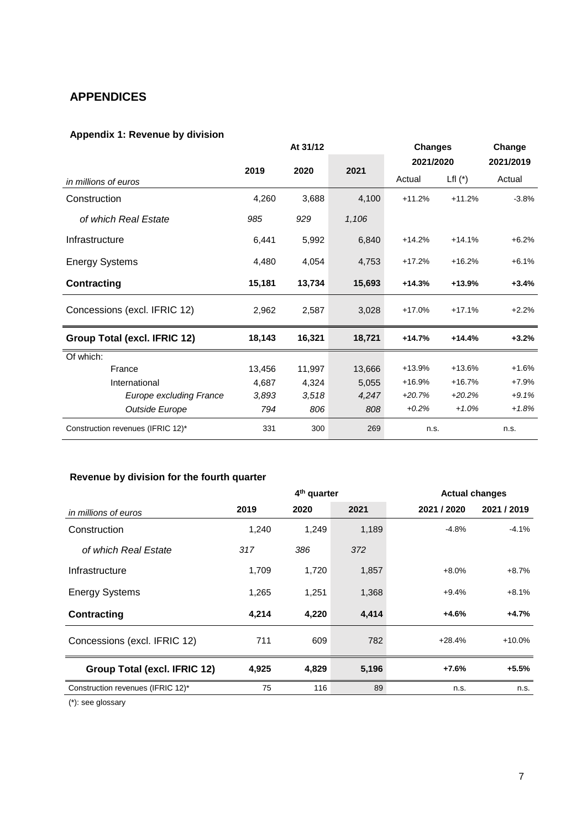# **APPENDICES**

# **Appendix 1: Revenue by division**

|                                   | At 31/12 |        | <b>Changes</b> |           | Change    |           |
|-----------------------------------|----------|--------|----------------|-----------|-----------|-----------|
|                                   | 2019     | 2020   |                | 2021/2020 |           | 2021/2019 |
| in millions of euros              |          |        | 2021           | Actual    | Lfl $(*)$ | Actual    |
| Construction                      | 4,260    | 3,688  | 4,100          | $+11.2%$  | $+11.2%$  | $-3.8%$   |
| of which Real Estate              | 985      | 929    | 1,106          |           |           |           |
| Infrastructure                    | 6,441    | 5,992  | 6,840          | $+14.2%$  | $+14.1%$  | $+6.2%$   |
| <b>Energy Systems</b>             | 4,480    | 4,054  | 4,753          | $+17.2%$  | $+16.2%$  | $+6.1%$   |
| <b>Contracting</b>                | 15,181   | 13,734 | 15,693         | $+14.3%$  | $+13.9%$  | $+3.4%$   |
| Concessions (excl. IFRIC 12)      | 2,962    | 2,587  | 3,028          | $+17.0%$  | $+17.1%$  | $+2.2%$   |
| Group Total (excl. IFRIC 12)      | 18,143   | 16,321 | 18,721         | $+14.7%$  | $+14.4%$  | $+3.2%$   |
| Of which:                         |          |        |                |           |           |           |
| France                            | 13,456   | 11,997 | 13,666         | $+13.9%$  | $+13.6%$  | $+1.6%$   |
| International                     | 4,687    | 4,324  | 5,055          | $+16.9%$  | $+16.7%$  | $+7.9%$   |
| <b>Europe excluding France</b>    | 3,893    | 3,518  | 4,247          | $+20.7%$  | $+20.2%$  | $+9.1%$   |
| Outside Europe                    | 794      | 806    | 808            | $+0.2%$   | $+1.0%$   | $+1.8%$   |
| Construction revenues (IFRIC 12)* | 331      | 300    | 269            | n.s.      |           | n.s.      |

# **Revenue by division for the fourth quarter**

|                                   | 4 <sup>th</sup> quarter |       |       | <b>Actual changes</b> |             |
|-----------------------------------|-------------------------|-------|-------|-----------------------|-------------|
| in millions of euros              | 2019                    | 2020  | 2021  | 2021 / 2020           | 2021 / 2019 |
| Construction                      | 1,240                   | 1,249 | 1,189 | $-4.8%$               | $-4.1%$     |
| of which Real Estate              | 317                     | 386   | 372   |                       |             |
| Infrastructure                    | 1,709                   | 1,720 | 1,857 | $+8.0%$               | $+8.7%$     |
| <b>Energy Systems</b>             | 1,265                   | 1,251 | 1,368 | $+9.4%$               | $+8.1%$     |
| Contracting                       | 4,214                   | 4,220 | 4,414 | $+4.6%$               | $+4.7%$     |
| Concessions (excl. IFRIC 12)      | 711                     | 609   | 782   | $+28.4%$              | $+10.0%$    |
| Group Total (excl. IFRIC 12)      | 4,925                   | 4,829 | 5,196 | $+7.6%$               | $+5.5%$     |
| Construction revenues (IFRIC 12)* | 75                      | 116   | 89    | n.s.                  | n.s.        |
| $(*)$ : see glossary              |                         |       |       |                       |             |

7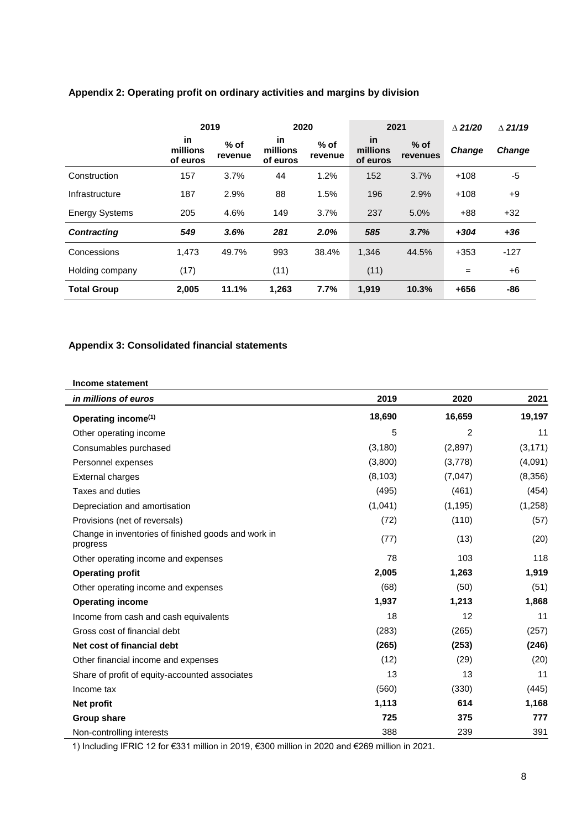|                       | 2019                       |                   | 2020                              |                   | 2021                       |                    | $\wedge$ 21/20 | $\wedge$ 21/19 |
|-----------------------|----------------------------|-------------------|-----------------------------------|-------------------|----------------------------|--------------------|----------------|----------------|
|                       | in<br>millions<br>of euros | $%$ of<br>revenue | <b>in</b><br>millions<br>of euros | $%$ of<br>revenue | in<br>millions<br>of euros | $%$ of<br>revenues | <b>Change</b>  | Change         |
| Construction          | 157                        | 3.7%              | 44                                | 1.2%              | 152                        | 3.7%               | $+108$         | -5             |
| Infrastructure        | 187                        | 2.9%              | 88                                | 1.5%              | 196                        | 2.9%               | $+108$         | $+9$           |
| <b>Energy Systems</b> | 205                        | 4.6%              | 149                               | 3.7%              | 237                        | 5.0%               | $+88$          | $+32$          |
| <b>Contracting</b>    | 549                        | 3.6%              | 281                               | 2.0%              | 585                        | 3.7%               | $+304$         | $+36$          |
| Concessions           | 1,473                      | 49.7%             | 993                               | 38.4%             | 1,346                      | 44.5%              | $+353$         | $-127$         |
| Holding company       | (17)                       |                   | (11)                              |                   | (11)                       |                    | $=$            | +6             |
| <b>Total Group</b>    | 2,005                      | 11.1%             | 1,263                             | 7.7%              | 1,919                      | 10.3%              | $+656$         | -86            |

## **Appendix 2: Operating profit on ordinary activities and margins by division**

## **Appendix 3: Consolidated financial statements**

#### **Income statement**

| in millions of euros                                            | 2019     | 2020           | 2021     |
|-----------------------------------------------------------------|----------|----------------|----------|
| Operating income <sup>(1)</sup>                                 | 18,690   | 16,659         | 19,197   |
| Other operating income                                          | 5        | $\overline{2}$ | 11       |
| Consumables purchased                                           | (3, 180) | (2,897)        | (3, 171) |
| Personnel expenses                                              | (3,800)  | (3,778)        | (4,091)  |
| <b>External charges</b>                                         | (8, 103) | (7,047)        | (8,356)  |
| Taxes and duties                                                | (495)    | (461)          | (454)    |
| Depreciation and amortisation                                   | (1,041)  | (1, 195)       | (1,258)  |
| Provisions (net of reversals)                                   | (72)     | (110)          | (57)     |
| Change in inventories of finished goods and work in<br>progress | (77)     | (13)           | (20)     |
| Other operating income and expenses                             | 78       | 103            | 118      |
| <b>Operating profit</b>                                         | 2,005    | 1,263          | 1,919    |
| Other operating income and expenses                             | (68)     | (50)           | (51)     |
| <b>Operating income</b>                                         | 1,937    | 1,213          | 1,868    |
| Income from cash and cash equivalents                           | 18       | 12             | 11       |
| Gross cost of financial debt                                    | (283)    | (265)          | (257)    |
| Net cost of financial debt                                      | (265)    | (253)          | (246)    |
| Other financial income and expenses                             | (12)     | (29)           | (20)     |
| Share of profit of equity-accounted associates                  | 13       | 13             | 11       |
| Income tax                                                      | (560)    | (330)          | (445)    |
| Net profit                                                      | 1,113    | 614            | 1,168    |
| Group share                                                     | 725      | 375            | 777      |
| Non-controlling interests                                       | 388      | 239            | 391      |

1) Including IFRIC 12 for €331 million in 2019, €300 million in 2020 and €269 million in 2021.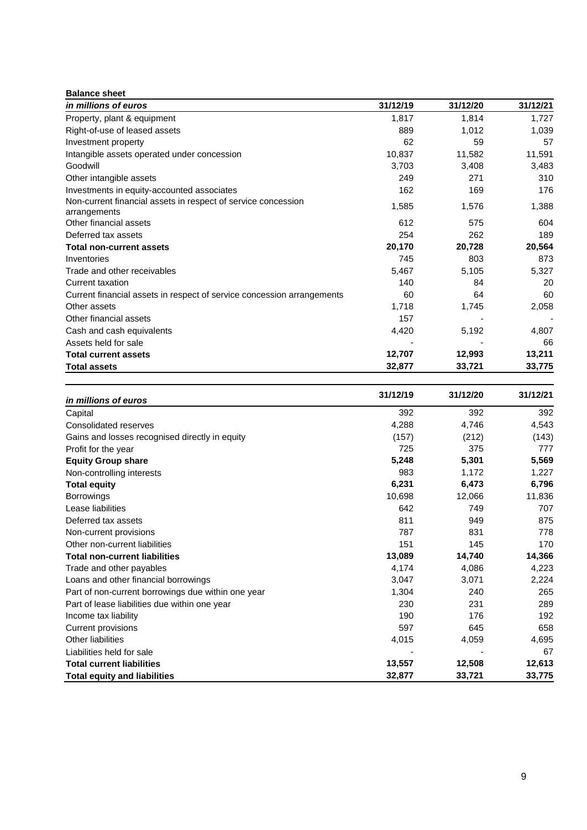| <b>Balance sheet</b>                                                          |          |          |          |
|-------------------------------------------------------------------------------|----------|----------|----------|
| in millions of euros                                                          | 31/12/19 | 31/12/20 | 31/12/21 |
| Property, plant & equipment                                                   | 1,817    | 1,814    | 1,727    |
| Right-of-use of leased assets                                                 | 889      | 1,012    | 1,039    |
| Investment property                                                           | 62       | 59       | 57       |
| Intangible assets operated under concession                                   | 10,837   | 11,582   | 11,591   |
| Goodwill                                                                      | 3,703    | 3,408    | 3,483    |
| Other intangible assets                                                       | 249      | 271      | 310      |
| Investments in equity-accounted associates                                    | 162      | 169      | 176      |
| Non-current financial assets in respect of service concession<br>arrangements | 1,585    | 1,576    | 1,388    |
| Other financial assets                                                        | 612      | 575      | 604      |
| Deferred tax assets                                                           | 254      | 262      | 189      |
| <b>Total non-current assets</b>                                               | 20,170   | 20,728   | 20,564   |
| Inventories                                                                   | 745      | 803      | 873      |
| Trade and other receivables                                                   | 5,467    | 5,105    | 5,327    |
| Current taxation                                                              | 140      | 84       | 20       |
| Current financial assets in respect of service concession arrangements        | 60       | 64       | 60       |
| Other assets                                                                  | 1,718    | 1,745    | 2,058    |
| Other financial assets                                                        | 157      |          |          |
| Cash and cash equivalents                                                     | 4,420    | 5,192    | 4,807    |
| Assets held for sale                                                          |          |          | 66       |
| <b>Total current assets</b>                                                   | 12,707   | 12,993   | 13,211   |
| <b>Total assets</b>                                                           | 32,877   | 33,721   | 33,775   |

| in millions of euros                               | 31/12/19 | 31/12/20 | 31/12/21 |
|----------------------------------------------------|----------|----------|----------|
| Capital                                            | 392      | 392      | 392      |
| Consolidated reserves                              | 4,288    | 4,746    | 4,543    |
| Gains and losses recognised directly in equity     | (157)    | (212)    | (143)    |
| Profit for the year                                | 725      | 375      | 777      |
| <b>Equity Group share</b>                          | 5,248    | 5,301    | 5,569    |
| Non-controlling interests                          | 983      | 1,172    | 1,227    |
| <b>Total equity</b>                                | 6,231    | 6,473    | 6,796    |
| <b>Borrowings</b>                                  | 10,698   | 12,066   | 11,836   |
| Lease liabilities                                  | 642      | 749      | 707      |
| Deferred tax assets                                | 811      | 949      | 875      |
| Non-current provisions                             | 787      | 831      | 778      |
| Other non-current liabilities                      | 151      | 145      | 170      |
| <b>Total non-current liabilities</b>               | 13,089   | 14,740   | 14,366   |
| Trade and other payables                           | 4,174    | 4,086    | 4,223    |
| Loans and other financial borrowings               | 3,047    | 3,071    | 2,224    |
| Part of non-current borrowings due within one year | 1,304    | 240      | 265      |
| Part of lease liabilities due within one year      | 230      | 231      | 289      |
| Income tax liability                               | 190      | 176      | 192      |
| Current provisions                                 | 597      | 645      | 658      |
| <b>Other liabilities</b>                           | 4,015    | 4,059    | 4,695    |
| Liabilities held for sale                          |          |          | 67       |
| <b>Total current liabilities</b>                   | 13,557   | 12,508   | 12,613   |
| <b>Total equity and liabilities</b>                | 32,877   | 33,721   | 33,775   |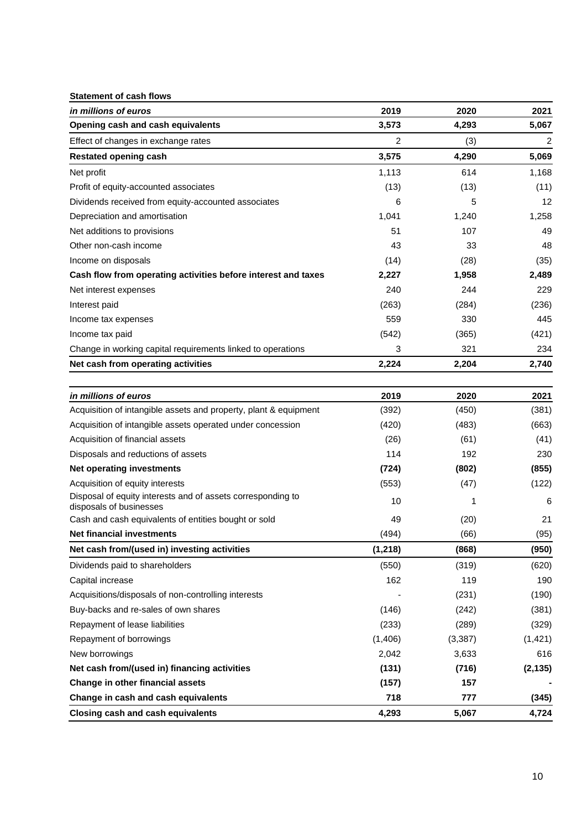### **Statement of cash flows**

| in millions of euros                                                                   | 2019     | 2020     | 2021           |
|----------------------------------------------------------------------------------------|----------|----------|----------------|
| Opening cash and cash equivalents                                                      | 3,573    | 4,293    | 5,067          |
| Effect of changes in exchange rates                                                    | 2        | (3)      | $\overline{c}$ |
| <b>Restated opening cash</b>                                                           | 3,575    | 4,290    | 5,069          |
| Net profit                                                                             | 1,113    | 614      | 1,168          |
| Profit of equity-accounted associates                                                  | (13)     | (13)     | (11)           |
| Dividends received from equity-accounted associates                                    | 6        | 5        | 12             |
| Depreciation and amortisation                                                          | 1,041    | 1,240    | 1,258          |
| Net additions to provisions                                                            | 51       | 107      | 49             |
| Other non-cash income                                                                  | 43       | 33       | 48             |
| Income on disposals                                                                    | (14)     | (28)     | (35)           |
| Cash flow from operating activities before interest and taxes                          | 2,227    | 1,958    | 2,489          |
| Net interest expenses                                                                  | 240      | 244      | 229            |
| Interest paid                                                                          | (263)    | (284)    | (236)          |
| Income tax expenses                                                                    | 559      | 330      | 445            |
| Income tax paid                                                                        | (542)    | (365)    | (421)          |
| Change in working capital requirements linked to operations                            | 3        | 321      | 234            |
| Net cash from operating activities                                                     | 2,224    | 2,204    | 2,740          |
|                                                                                        |          |          |                |
| in millions of euros                                                                   | 2019     | 2020     | 2021           |
| Acquisition of intangible assets and property, plant & equipment                       | (392)    | (450)    | (381)          |
| Acquisition of intangible assets operated under concession                             | (420)    | (483)    | (663)          |
| Acquisition of financial assets                                                        | (26)     | (61)     | (41)           |
| Disposals and reductions of assets                                                     | 114      | 192      | 230            |
| <b>Net operating investments</b>                                                       | (724)    | (802)    | (855)          |
| Acquisition of equity interests                                                        | (553)    | (47)     | (122)          |
| Disposal of equity interests and of assets corresponding to<br>disposals of businesses | 10       | 1        | 6              |
| Cash and cash equivalents of entities bought or sold                                   | 49       | (20)     | 21             |
| <b>Net financial investments</b>                                                       | (494)    | (66)     | (95)           |
| Net cash from/(used in) investing activities                                           | (1, 218) | (868)    | (950)          |
| Dividends paid to shareholders                                                         | (550)    | (319)    | (620)          |
| Capital increase                                                                       | 162      | 119      | 190            |
| Acquisitions/disposals of non-controlling interests                                    |          | (231)    | (190)          |
| Buy-backs and re-sales of own shares                                                   | (146)    | (242)    | (381)          |
| Repayment of lease liabilities                                                         | (233)    | (289)    | (329)          |
| Repayment of borrowings                                                                | (1,406)  | (3, 387) | (1, 421)       |
| New borrowings                                                                         | 2,042    | 3,633    | 616            |
| Net cash from/(used in) financing activities                                           | (131)    | (716)    | (2, 135)       |
| Change in other financial assets                                                       | (157)    | 157      |                |

**Change in cash and cash equivalents 118 718 777 138 1345 Closing cash and cash equivalents 4,293 5,067 4,724**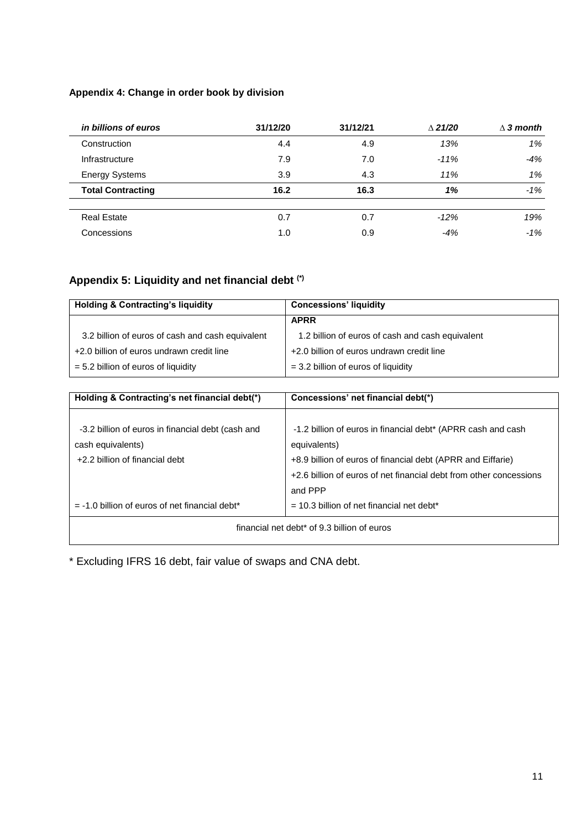## **Appendix 4: Change in order book by division**

| in billions of euros     | 31/12/20 | 31/12/21 | $\triangle$ 21/20 | $\wedge$ 3 month |
|--------------------------|----------|----------|-------------------|------------------|
| Construction             | 4.4      | 4.9      | 13%               | $1\%$            |
| Infrastructure           | 7.9      | 7.0      | $-11%$            | -4%              |
| <b>Energy Systems</b>    | 3.9      | 4.3      | 11%               | 1%               |
| <b>Total Contracting</b> | 16.2     | 16.3     | 1%                | $-1%$            |
| <b>Real Estate</b>       | 0.7      | 0.7      | $-12%$            | 19%              |
| Concessions              | 1.0      | 0.9      | $-4%$             | $-1\%$           |

# **Appendix 5: Liquidity and net financial debt (\*)**

| <b>Holding &amp; Contracting's liquidity</b>     | <b>Concessions' liquidity</b>                    |
|--------------------------------------------------|--------------------------------------------------|
|                                                  | <b>APRR</b>                                      |
| 3.2 billion of euros of cash and cash equivalent | 1.2 billion of euros of cash and cash equivalent |
| +2.0 billion of euros undrawn credit line        | +2.0 billion of euros undrawn credit line        |
| $= 5.2$ billion of euros of liquidity            | $=$ 3.2 billion of euros of liquidity            |

| Holding & Contracting's net financial debt(*)     | Concessions' net financial debt(*)                                 |
|---------------------------------------------------|--------------------------------------------------------------------|
| -3.2 billion of euros in financial debt (cash and | -1.2 billion of euros in financial debt* (APRR cash and cash       |
| cash equivalents)                                 | equivalents)                                                       |
| +2.2 billion of financial debt                    | +8.9 billion of euros of financial debt (APRR and Eiffarie)        |
|                                                   | +2.6 billion of euros of net financial debt from other concessions |
|                                                   | and PPP                                                            |
| $= -1.0$ billion of euros of net financial debt*  | $=$ 10.3 billion of net financial net debt*                        |
|                                                   | financial net debt* of 9.3 billion of euros                        |

\* Excluding IFRS 16 debt, fair value of swaps and CNA debt.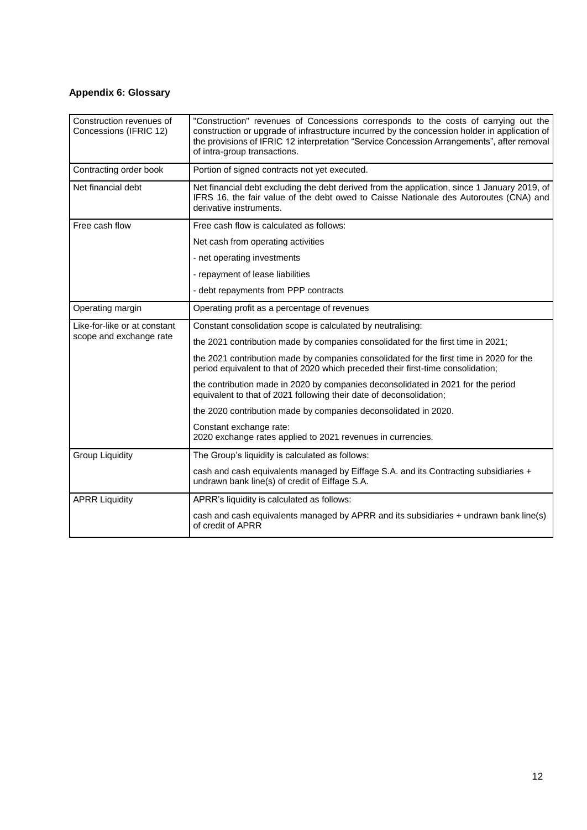# **Appendix 6: Glossary**

| Construction revenues of<br>Concessions (IFRIC 12) | "Construction" revenues of Concessions corresponds to the costs of carrying out the<br>construction or upgrade of infrastructure incurred by the concession holder in application of<br>the provisions of IFRIC 12 interpretation "Service Concession Arrangements", after removal<br>of intra-group transactions. |
|----------------------------------------------------|--------------------------------------------------------------------------------------------------------------------------------------------------------------------------------------------------------------------------------------------------------------------------------------------------------------------|
| Contracting order book                             | Portion of signed contracts not yet executed.                                                                                                                                                                                                                                                                      |
| Net financial debt                                 | Net financial debt excluding the debt derived from the application, since 1 January 2019, of<br>IFRS 16, the fair value of the debt owed to Caisse Nationale des Autoroutes (CNA) and<br>derivative instruments.                                                                                                   |
| Free cash flow                                     | Free cash flow is calculated as follows:                                                                                                                                                                                                                                                                           |
|                                                    | Net cash from operating activities                                                                                                                                                                                                                                                                                 |
|                                                    | - net operating investments                                                                                                                                                                                                                                                                                        |
|                                                    | - repayment of lease liabilities                                                                                                                                                                                                                                                                                   |
|                                                    | - debt repayments from PPP contracts                                                                                                                                                                                                                                                                               |
| Operating margin                                   | Operating profit as a percentage of revenues                                                                                                                                                                                                                                                                       |
| Like-for-like or at constant                       | Constant consolidation scope is calculated by neutralising:                                                                                                                                                                                                                                                        |
| scope and exchange rate                            | the 2021 contribution made by companies consolidated for the first time in 2021;                                                                                                                                                                                                                                   |
|                                                    | the 2021 contribution made by companies consolidated for the first time in 2020 for the<br>period equivalent to that of 2020 which preceded their first-time consolidation;                                                                                                                                        |
|                                                    | the contribution made in 2020 by companies deconsolidated in 2021 for the period<br>equivalent to that of 2021 following their date of deconsolidation;                                                                                                                                                            |
|                                                    | the 2020 contribution made by companies deconsolidated in 2020.                                                                                                                                                                                                                                                    |
|                                                    | Constant exchange rate:<br>2020 exchange rates applied to 2021 revenues in currencies.                                                                                                                                                                                                                             |
| <b>Group Liquidity</b>                             | The Group's liquidity is calculated as follows:                                                                                                                                                                                                                                                                    |
|                                                    | cash and cash equivalents managed by Eiffage S.A. and its Contracting subsidiaries +<br>undrawn bank line(s) of credit of Eiffage S.A.                                                                                                                                                                             |
| <b>APRR Liquidity</b>                              | APRR's liquidity is calculated as follows:                                                                                                                                                                                                                                                                         |
|                                                    | cash and cash equivalents managed by APRR and its subsidiaries + undrawn bank line(s)<br>of credit of APRR                                                                                                                                                                                                         |